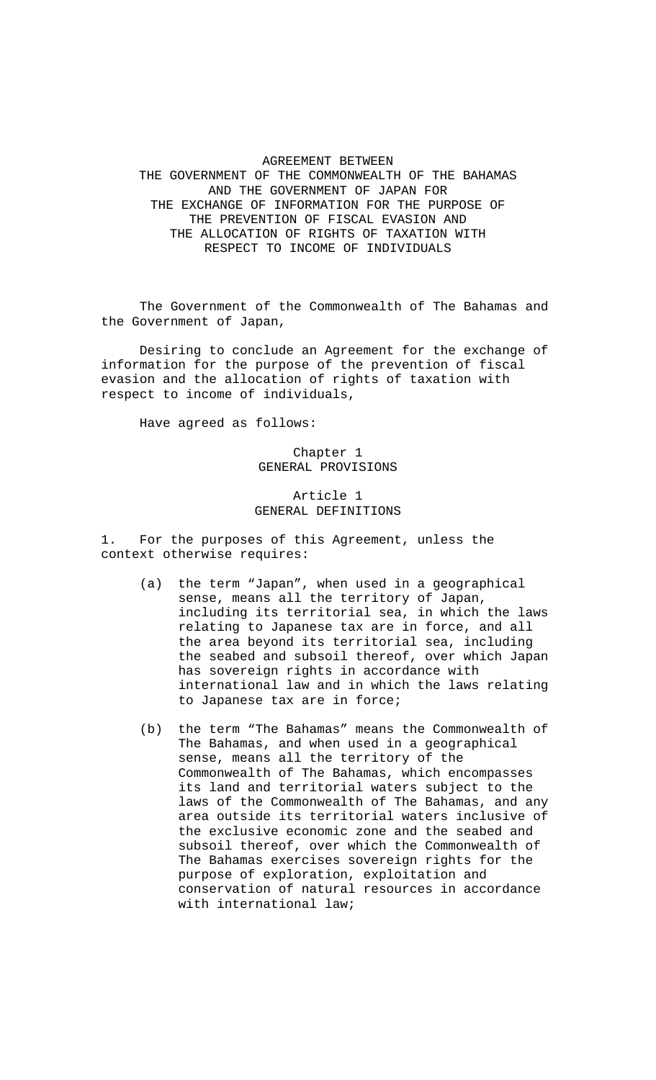# AGREEMENT BETWEEN THE GOVERNMENT OF THE COMMONWEALTH OF THE BAHAMAS AND THE GOVERNMENT OF JAPAN FOR THE EXCHANGE OF INFORMATION FOR THE PURPOSE OF THE PREVENTION OF FISCAL EVASION AND THE ALLOCATION OF RIGHTS OF TAXATION WITH RESPECT TO INCOME OF INDIVIDUALS

 The Government of the Commonwealth of The Bahamas and the Government of Japan,

 Desiring to conclude an Agreement for the exchange of information for the purpose of the prevention of fiscal evasion and the allocation of rights of taxation with respect to income of individuals,

Have agreed as follows:

# Chapter 1 GENERAL PROVISIONS

# Article 1 GENERAL DEFINITIONS

1. For the purposes of this Agreement, unless the context otherwise requires:

- (a) the term "Japan", when used in a geographical sense, means all the territory of Japan, including its territorial sea, in which the laws relating to Japanese tax are in force, and all the area beyond its territorial sea, including the seabed and subsoil thereof, over which Japan has sovereign rights in accordance with international law and in which the laws relating to Japanese tax are in force;
- (b) the term "The Bahamas" means the Commonwealth of The Bahamas, and when used in a geographical sense, means all the territory of the Commonwealth of The Bahamas, which encompasses its land and territorial waters subject to the laws of the Commonwealth of The Bahamas, and any area outside its territorial waters inclusive of the exclusive economic zone and the seabed and subsoil thereof, over which the Commonwealth of The Bahamas exercises sovereign rights for the purpose of exploration, exploitation and conservation of natural resources in accordance with international law;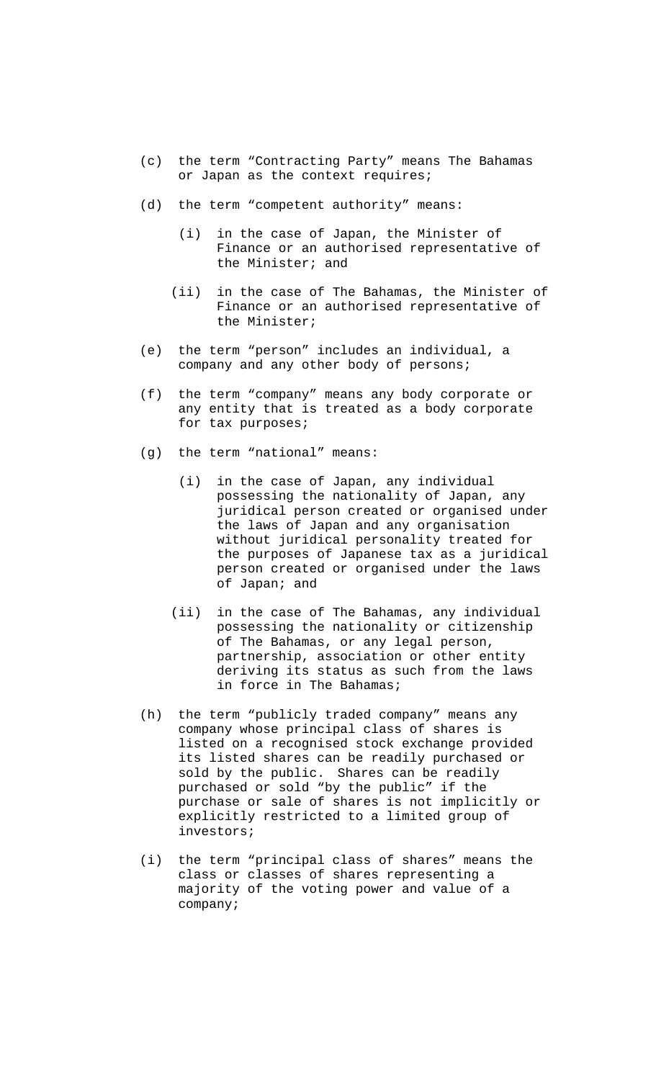- (c) the term "Contracting Party" means The Bahamas or Japan as the context requires;
- (d) the term "competent authority" means:
	- (i) in the case of Japan, the Minister of Finance or an authorised representative of the Minister; and
	- (ii) in the case of The Bahamas, the Minister of Finance or an authorised representative of the Minister;
- (e) the term "person" includes an individual, a company and any other body of persons;
- (f) the term "company" means any body corporate or any entity that is treated as a body corporate for tax purposes;
- (g) the term "national" means:
	- (i) in the case of Japan, any individual possessing the nationality of Japan, any juridical person created or organised under the laws of Japan and any organisation without juridical personality treated for the purposes of Japanese tax as a juridical person created or organised under the laws of Japan; and
	- (ii) in the case of The Bahamas, any individual possessing the nationality or citizenship of The Bahamas, or any legal person, partnership, association or other entity deriving its status as such from the laws in force in The Bahamas;
- (h) the term "publicly traded company" means any company whose principal class of shares is listed on a recognised stock exchange provided its listed shares can be readily purchased or sold by the public. Shares can be readily purchased or sold "by the public" if the purchase or sale of shares is not implicitly or explicitly restricted to a limited group of investors;
- (i) the term "principal class of shares" means the class or classes of shares representing a majority of the voting power and value of a company;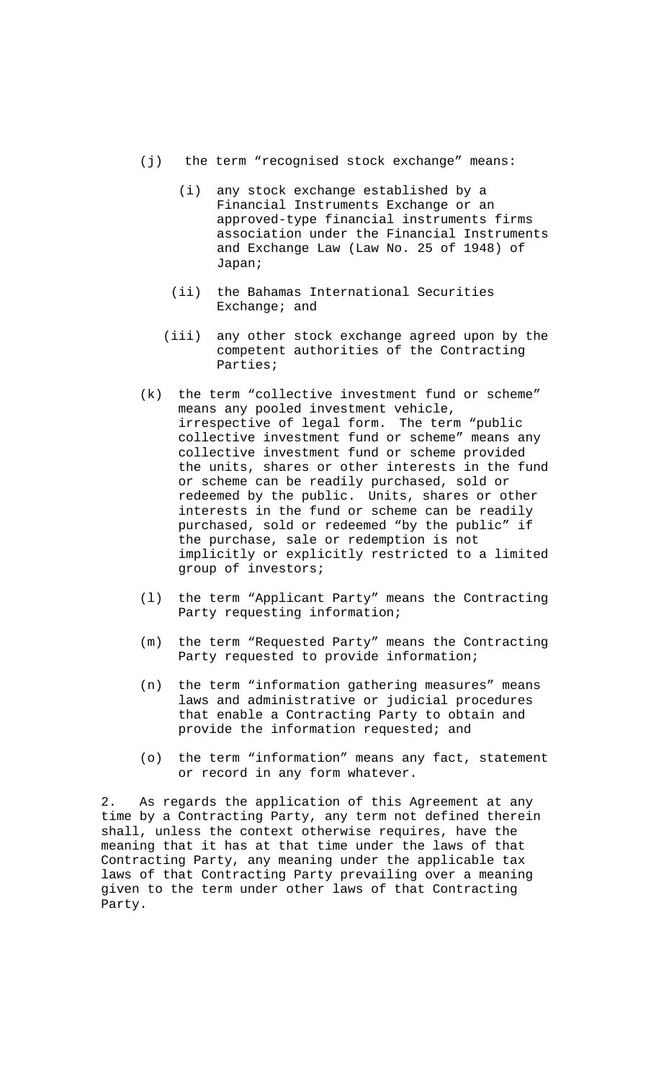- (j) the term "recognised stock exchange" means:
	- (i) any stock exchange established by a Financial Instruments Exchange or an approved-type financial instruments firms association under the Financial Instruments and Exchange Law (Law No. 25 of 1948) of Japan;
	- (ii) the Bahamas International Securities Exchange; and
	- (iii) any other stock exchange agreed upon by the competent authorities of the Contracting Parties;
- (k) the term "collective investment fund or scheme" means any pooled investment vehicle, irrespective of legal form. The term "public collective investment fund or scheme" means any collective investment fund or scheme provided the units, shares or other interests in the fund or scheme can be readily purchased, sold or redeemed by the public. Units, shares or other interests in the fund or scheme can be readily purchased, sold or redeemed "by the public" if the purchase, sale or redemption is not implicitly or explicitly restricted to a limited group of investors;
- (l) the term "Applicant Party" means the Contracting Party requesting information;
- (m) the term "Requested Party" means the Contracting Party requested to provide information;
- (n) the term "information gathering measures" means laws and administrative or judicial procedures that enable a Contracting Party to obtain and provide the information requested; and
- (o) the term "information" means any fact, statement or record in any form whatever.

2. As regards the application of this Agreement at any time by a Contracting Party, any term not defined therein shall, unless the context otherwise requires, have the meaning that it has at that time under the laws of that Contracting Party, any meaning under the applicable tax laws of that Contracting Party prevailing over a meaning given to the term under other laws of that Contracting Party.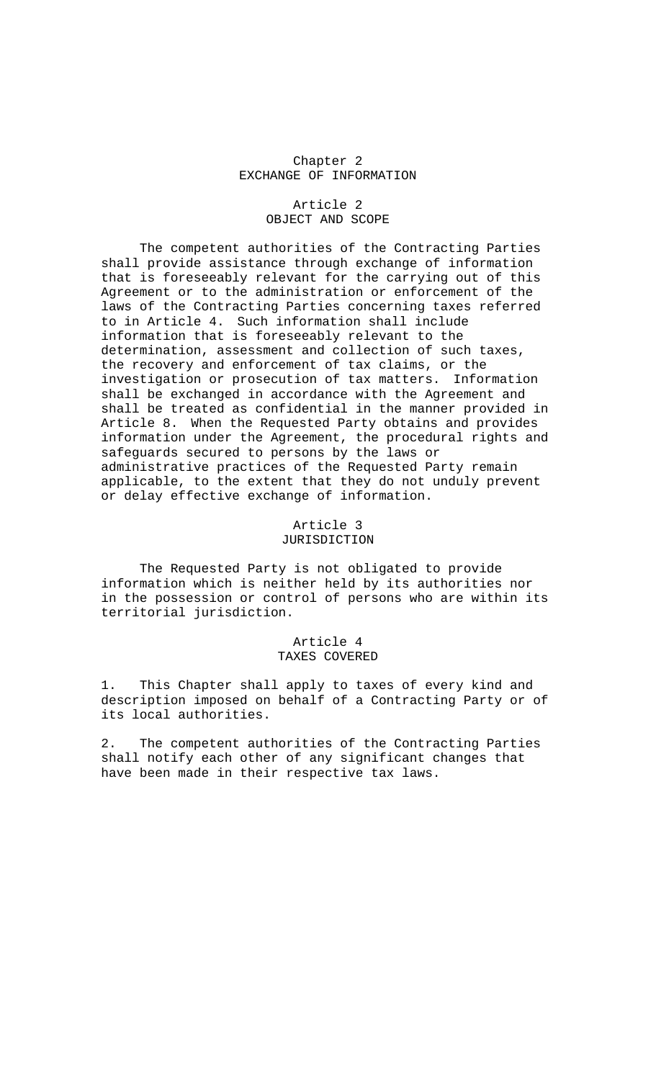#### Chapter 2 EXCHANGE OF INFORMATION

#### Article 2 OBJECT AND SCOPE

 The competent authorities of the Contracting Parties shall provide assistance through exchange of information that is foreseeably relevant for the carrying out of this Agreement or to the administration or enforcement of the laws of the Contracting Parties concerning taxes referred to in Article 4. Such information shall include information that is foreseeably relevant to the determination, assessment and collection of such taxes, the recovery and enforcement of tax claims, or the investigation or prosecution of tax matters. Information shall be exchanged in accordance with the Agreement and shall be treated as confidential in the manner provided in Article 8. When the Requested Party obtains and provides information under the Agreement, the procedural rights and safeguards secured to persons by the laws or administrative practices of the Requested Party remain applicable, to the extent that they do not unduly prevent or delay effective exchange of information.

# Article 3 JURISDICTION

 The Requested Party is not obligated to provide information which is neither held by its authorities nor in the possession or control of persons who are within its territorial jurisdiction.

# Article 4 TAXES COVERED

1. This Chapter shall apply to taxes of every kind and description imposed on behalf of a Contracting Party or of its local authorities.

2. The competent authorities of the Contracting Parties shall notify each other of any significant changes that have been made in their respective tax laws.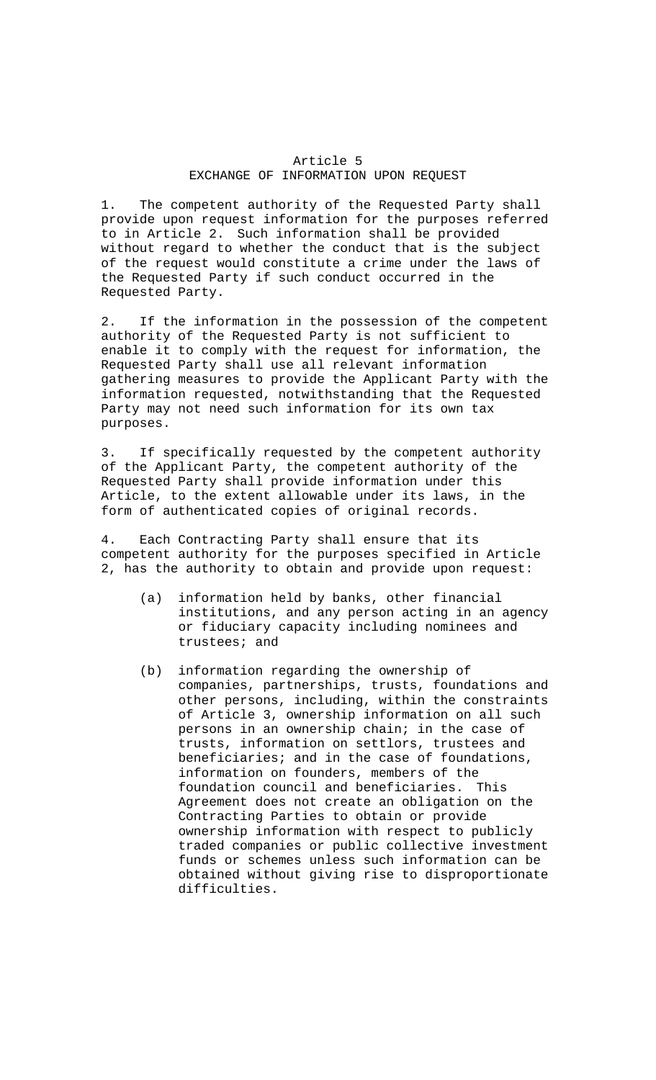### Article 5 EXCHANGE OF INFORMATION UPON REQUEST

1. The competent authority of the Requested Party shall provide upon request information for the purposes referred to in Article 2. Such information shall be provided without regard to whether the conduct that is the subject of the request would constitute a crime under the laws of the Requested Party if such conduct occurred in the Requested Party.

2. If the information in the possession of the competent authority of the Requested Party is not sufficient to enable it to comply with the request for information, the Requested Party shall use all relevant information gathering measures to provide the Applicant Party with the information requested, notwithstanding that the Requested Party may not need such information for its own tax purposes.

3. If specifically requested by the competent authority of the Applicant Party, the competent authority of the Requested Party shall provide information under this Article, to the extent allowable under its laws, in the form of authenticated copies of original records.

4. Each Contracting Party shall ensure that its competent authority for the purposes specified in Article 2, has the authority to obtain and provide upon request:

- (a) information held by banks, other financial institutions, and any person acting in an agency or fiduciary capacity including nominees and trustees; and
- (b) information regarding the ownership of companies, partnerships, trusts, foundations and other persons, including, within the constraints of Article 3, ownership information on all such persons in an ownership chain; in the case of trusts, information on settlors, trustees and beneficiaries; and in the case of foundations, information on founders, members of the foundation council and beneficiaries. This Agreement does not create an obligation on the Contracting Parties to obtain or provide ownership information with respect to publicly traded companies or public collective investment funds or schemes unless such information can be obtained without giving rise to disproportionate difficulties.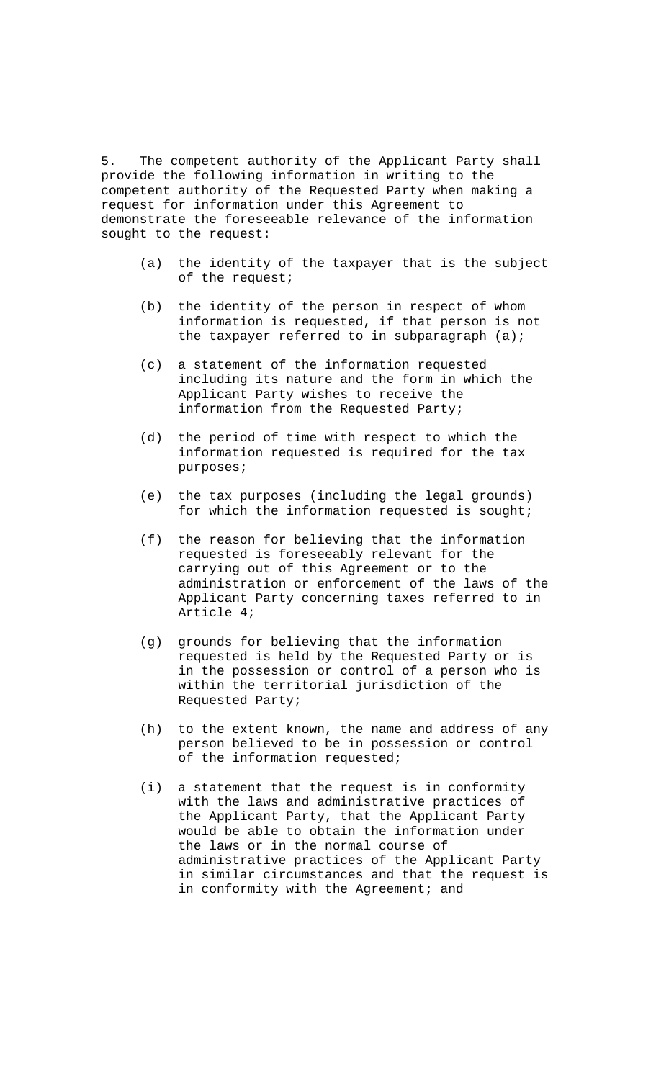5. The competent authority of the Applicant Party shall provide the following information in writing to the competent authority of the Requested Party when making a request for information under this Agreement to demonstrate the foreseeable relevance of the information sought to the request:

- (a) the identity of the taxpayer that is the subject of the request;
- (b) the identity of the person in respect of whom information is requested, if that person is not the taxpayer referred to in subparagraph (a);
- (c) a statement of the information requested including its nature and the form in which the Applicant Party wishes to receive the information from the Requested Party;
- (d) the period of time with respect to which the information requested is required for the tax purposes;
- (e) the tax purposes (including the legal grounds) for which the information requested is sought;
- (f) the reason for believing that the information requested is foreseeably relevant for the carrying out of this Agreement or to the administration or enforcement of the laws of the Applicant Party concerning taxes referred to in Article 4;
- (g) grounds for believing that the information requested is held by the Requested Party or is in the possession or control of a person who is within the territorial jurisdiction of the Requested Party;
- (h) to the extent known, the name and address of any person believed to be in possession or control of the information requested;
- (i) a statement that the request is in conformity with the laws and administrative practices of the Applicant Party, that the Applicant Party would be able to obtain the information under the laws or in the normal course of administrative practices of the Applicant Party in similar circumstances and that the request is in conformity with the Agreement; and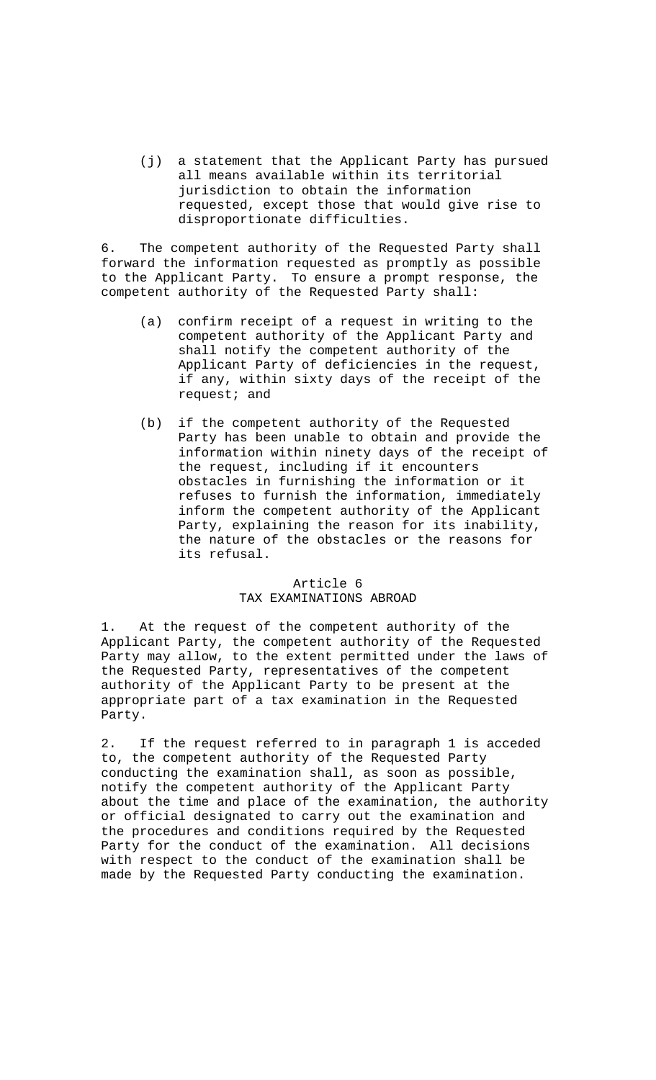(j) a statement that the Applicant Party has pursued all means available within its territorial jurisdiction to obtain the information requested, except those that would give rise to disproportionate difficulties.

6. The competent authority of the Requested Party shall forward the information requested as promptly as possible to the Applicant Party. To ensure a prompt response, the competent authority of the Requested Party shall:

- (a) confirm receipt of a request in writing to the competent authority of the Applicant Party and shall notify the competent authority of the Applicant Party of deficiencies in the request, if any, within sixty days of the receipt of the request; and
- (b) if the competent authority of the Requested Party has been unable to obtain and provide the information within ninety days of the receipt of the request, including if it encounters obstacles in furnishing the information or it refuses to furnish the information, immediately inform the competent authority of the Applicant Party, explaining the reason for its inability, the nature of the obstacles or the reasons for its refusal.

### Article 6 TAX EXAMINATIONS ABROAD

1. At the request of the competent authority of the Applicant Party, the competent authority of the Requested Party may allow, to the extent permitted under the laws of the Requested Party, representatives of the competent authority of the Applicant Party to be present at the appropriate part of a tax examination in the Requested Party.

2. If the request referred to in paragraph 1 is acceded to, the competent authority of the Requested Party conducting the examination shall, as soon as possible, notify the competent authority of the Applicant Party about the time and place of the examination, the authority or official designated to carry out the examination and the procedures and conditions required by the Requested Party for the conduct of the examination. All decisions with respect to the conduct of the examination shall be made by the Requested Party conducting the examination.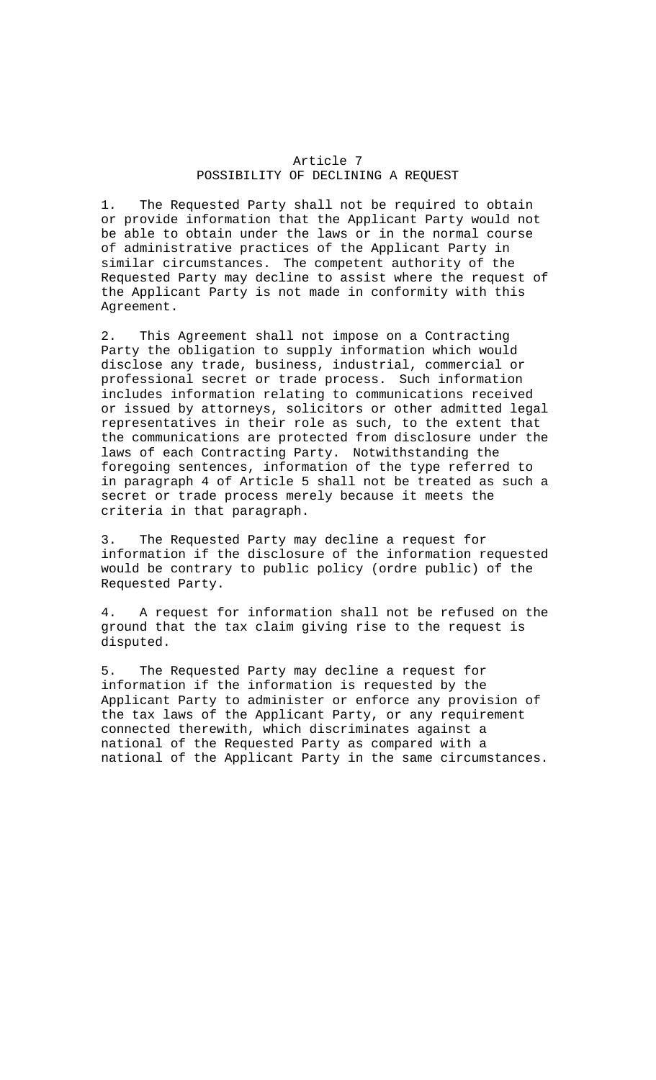#### Article 7 POSSIBILITY OF DECLINING A REQUEST

1. The Requested Party shall not be required to obtain or provide information that the Applicant Party would not be able to obtain under the laws or in the normal course of administrative practices of the Applicant Party in similar circumstances. The competent authority of the Requested Party may decline to assist where the request of the Applicant Party is not made in conformity with this Agreement.

2. This Agreement shall not impose on a Contracting Party the obligation to supply information which would disclose any trade, business, industrial, commercial or professional secret or trade process. Such information includes information relating to communications received or issued by attorneys, solicitors or other admitted legal representatives in their role as such, to the extent that the communications are protected from disclosure under the laws of each Contracting Party. Notwithstanding the foregoing sentences, information of the type referred to in paragraph 4 of Article 5 shall not be treated as such a secret or trade process merely because it meets the criteria in that paragraph.

3. The Requested Party may decline a request for information if the disclosure of the information requested would be contrary to public policy (ordre public) of the Requested Party.

4. A request for information shall not be refused on the ground that the tax claim giving rise to the request is disputed.

5. The Requested Party may decline a request for information if the information is requested by the Applicant Party to administer or enforce any provision of the tax laws of the Applicant Party, or any requirement connected therewith, which discriminates against a national of the Requested Party as compared with a national of the Applicant Party in the same circumstances.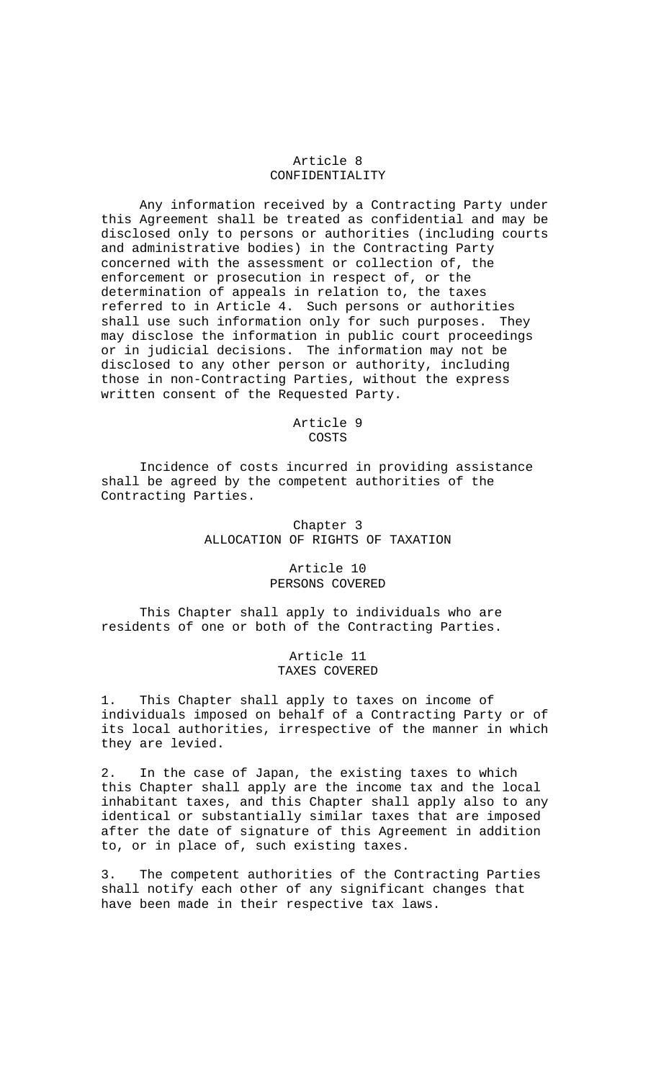# Article 8 CONFIDENTIALITY

 Any information received by a Contracting Party under this Agreement shall be treated as confidential and may be disclosed only to persons or authorities (including courts and administrative bodies) in the Contracting Party concerned with the assessment or collection of, the enforcement or prosecution in respect of, or the determination of appeals in relation to, the taxes referred to in Article 4. Such persons or authorities shall use such information only for such purposes. They may disclose the information in public court proceedings or in judicial decisions. The information may not be disclosed to any other person or authority, including those in non-Contracting Parties, without the express written consent of the Requested Party.

> Article 9 COSTS

 Incidence of costs incurred in providing assistance shall be agreed by the competent authorities of the Contracting Parties.

### Chapter 3 ALLOCATION OF RIGHTS OF TAXATION

### Article 10 PERSONS COVERED

 This Chapter shall apply to individuals who are residents of one or both of the Contracting Parties.

> Article 11 TAXES COVERED

1. This Chapter shall apply to taxes on income of individuals imposed on behalf of a Contracting Party or of its local authorities, irrespective of the manner in which they are levied.

2. In the case of Japan, the existing taxes to which this Chapter shall apply are the income tax and the local inhabitant taxes, and this Chapter shall apply also to any identical or substantially similar taxes that are imposed after the date of signature of this Agreement in addition to, or in place of, such existing taxes.

3. The competent authorities of the Contracting Parties shall notify each other of any significant changes that have been made in their respective tax laws.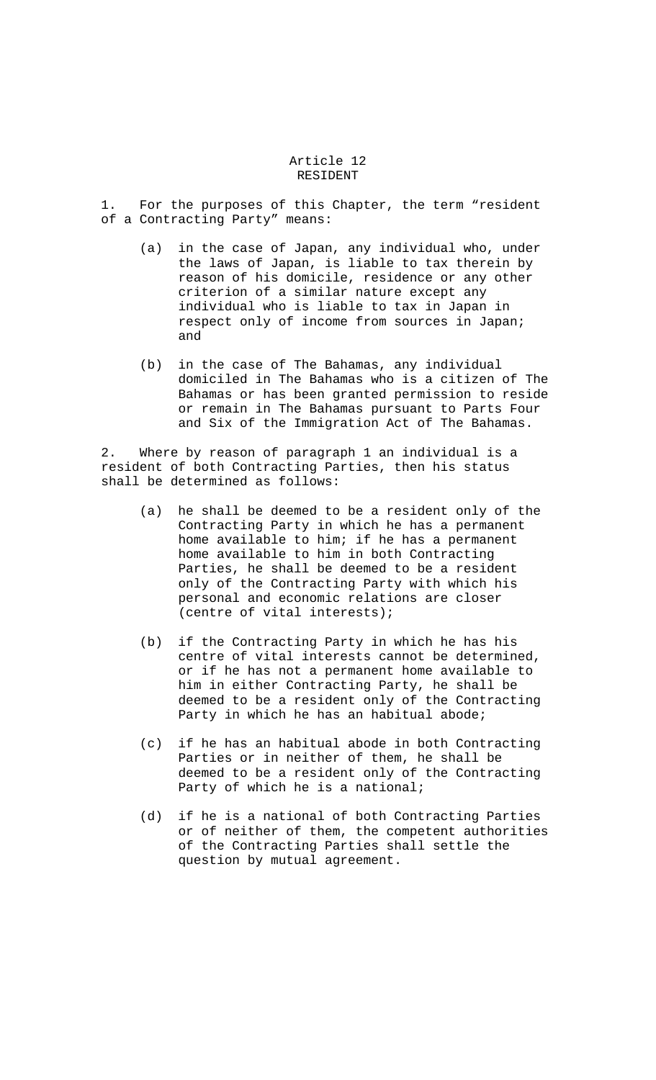#### Article 12 RESIDENT

1. For the purposes of this Chapter, the term "resident of a Contracting Party" means:

- (a) in the case of Japan, any individual who, under the laws of Japan, is liable to tax therein by reason of his domicile, residence or any other criterion of a similar nature except any individual who is liable to tax in Japan in respect only of income from sources in Japan; and
- (b) in the case of The Bahamas, any individual domiciled in The Bahamas who is a citizen of The Bahamas or has been granted permission to reside or remain in The Bahamas pursuant to Parts Four and Six of the Immigration Act of The Bahamas.

2. Where by reason of paragraph 1 an individual is a resident of both Contracting Parties, then his status shall be determined as follows:

- (a) he shall be deemed to be a resident only of the Contracting Party in which he has a permanent home available to him; if he has a permanent home available to him in both Contracting Parties, he shall be deemed to be a resident only of the Contracting Party with which his personal and economic relations are closer (centre of vital interests);
- (b) if the Contracting Party in which he has his centre of vital interests cannot be determined, or if he has not a permanent home available to him in either Contracting Party, he shall be deemed to be a resident only of the Contracting Party in which he has an habitual abode;
- (c) if he has an habitual abode in both Contracting Parties or in neither of them, he shall be deemed to be a resident only of the Contracting Party of which he is a national;
- (d) if he is a national of both Contracting Parties or of neither of them, the competent authorities of the Contracting Parties shall settle the question by mutual agreement.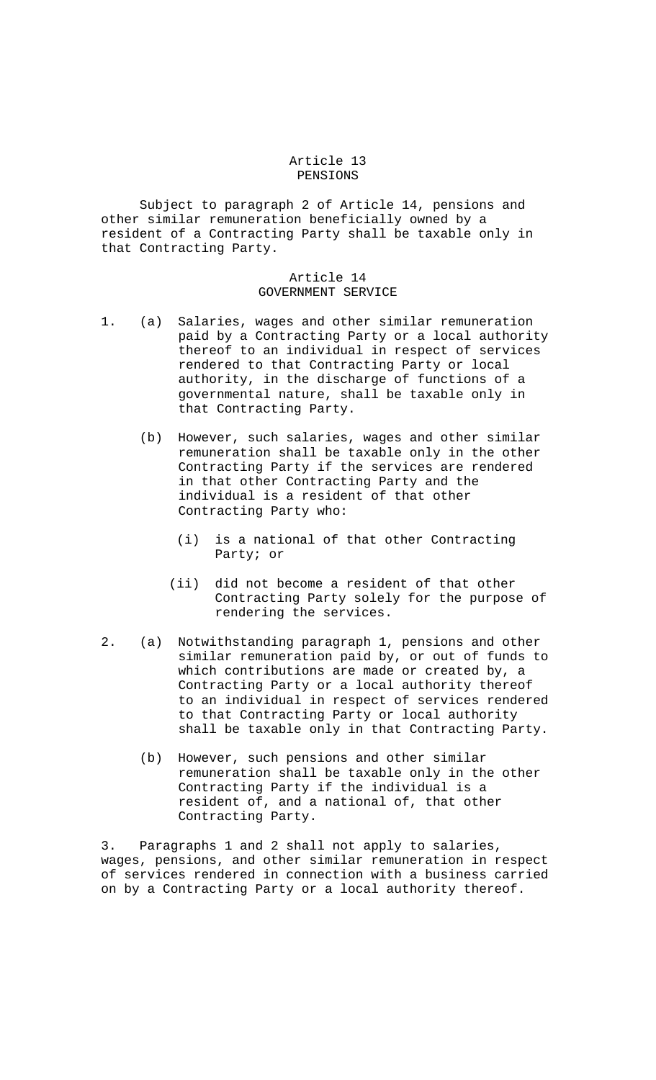#### Article 13 PENSIONS

 Subject to paragraph 2 of Article 14, pensions and other similar remuneration beneficially owned by a resident of a Contracting Party shall be taxable only in that Contracting Party.

### Article 14 GOVERNMENT SERVICE

- 1. (a) Salaries, wages and other similar remuneration paid by a Contracting Party or a local authority thereof to an individual in respect of services rendered to that Contracting Party or local authority, in the discharge of functions of a governmental nature, shall be taxable only in that Contracting Party.
	- (b) However, such salaries, wages and other similar remuneration shall be taxable only in the other Contracting Party if the services are rendered in that other Contracting Party and the individual is a resident of that other Contracting Party who:
		- (i) is a national of that other Contracting Party; or
		- (ii) did not become a resident of that other Contracting Party solely for the purpose of rendering the services.
- 2. (a) Notwithstanding paragraph 1, pensions and other similar remuneration paid by, or out of funds to which contributions are made or created by, a Contracting Party or a local authority thereof to an individual in respect of services rendered to that Contracting Party or local authority shall be taxable only in that Contracting Party.
	- (b) However, such pensions and other similar remuneration shall be taxable only in the other Contracting Party if the individual is a resident of, and a national of, that other Contracting Party.

3. Paragraphs 1 and 2 shall not apply to salaries, wages, pensions, and other similar remuneration in respect of services rendered in connection with a business carried on by a Contracting Party or a local authority thereof.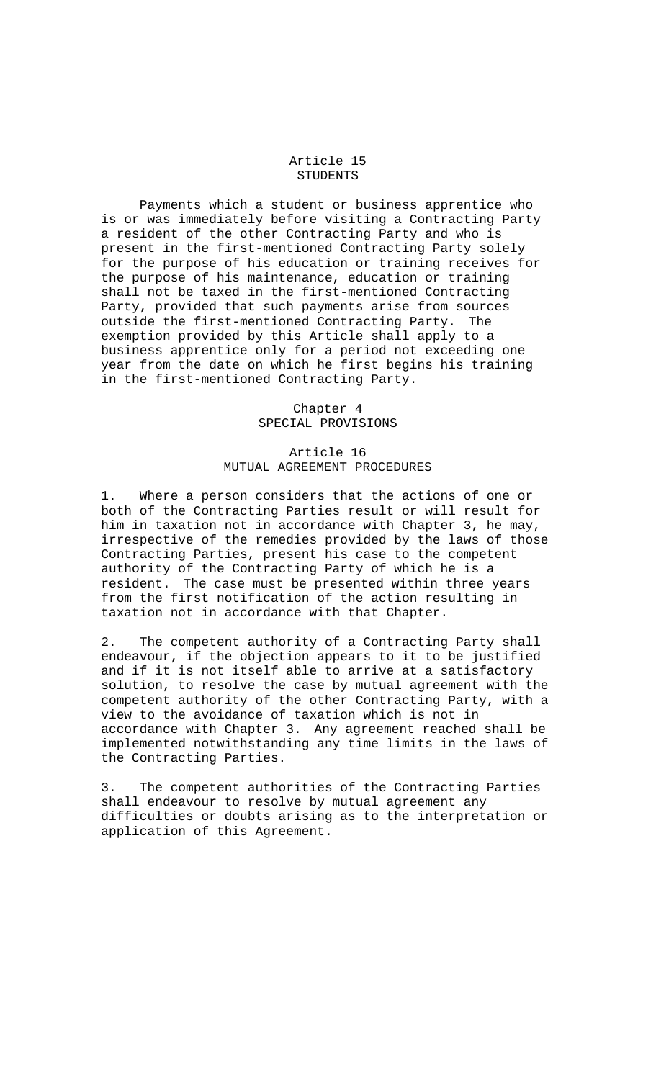#### Article 15 STUDENTS

 Payments which a student or business apprentice who is or was immediately before visiting a Contracting Party a resident of the other Contracting Party and who is present in the first-mentioned Contracting Party solely for the purpose of his education or training receives for the purpose of his maintenance, education or training shall not be taxed in the first-mentioned Contracting Party, provided that such payments arise from sources outside the first-mentioned Contracting Party. The exemption provided by this Article shall apply to a business apprentice only for a period not exceeding one year from the date on which he first begins his training in the first-mentioned Contracting Party.

> Chapter 4 SPECIAL PROVISIONS

# Article 16 MUTUAL AGREEMENT PROCEDURES

1. Where a person considers that the actions of one or both of the Contracting Parties result or will result for him in taxation not in accordance with Chapter 3, he may, irrespective of the remedies provided by the laws of those Contracting Parties, present his case to the competent authority of the Contracting Party of which he is a resident. The case must be presented within three years from the first notification of the action resulting in taxation not in accordance with that Chapter.

2. The competent authority of a Contracting Party shall endeavour, if the objection appears to it to be justified and if it is not itself able to arrive at a satisfactory solution, to resolve the case by mutual agreement with the competent authority of the other Contracting Party, with a view to the avoidance of taxation which is not in accordance with Chapter 3. Any agreement reached shall be implemented notwithstanding any time limits in the laws of the Contracting Parties.

3. The competent authorities of the Contracting Parties shall endeavour to resolve by mutual agreement any difficulties or doubts arising as to the interpretation or application of this Agreement.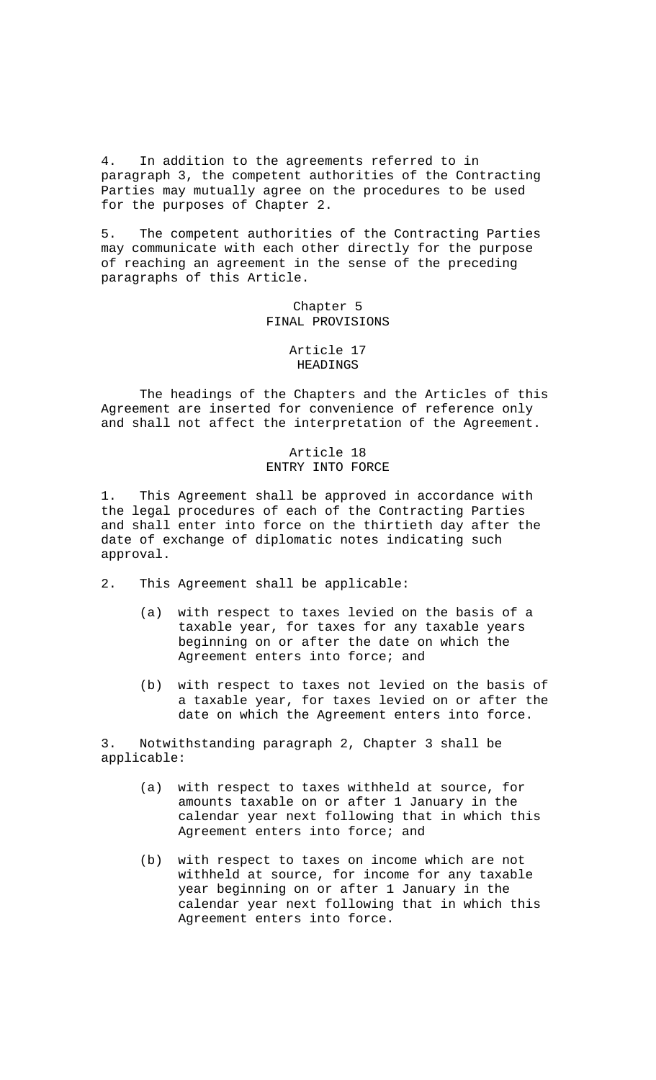4. In addition to the agreements referred to in paragraph 3, the competent authorities of the Contracting Parties may mutually agree on the procedures to be used for the purposes of Chapter 2.

5. The competent authorities of the Contracting Parties may communicate with each other directly for the purpose of reaching an agreement in the sense of the preceding paragraphs of this Article.

#### Chapter 5 FINAL PROVISIONS

# Article 17 HEADINGS

 The headings of the Chapters and the Articles of this Agreement are inserted for convenience of reference only and shall not affect the interpretation of the Agreement.

## Article 18 ENTRY INTO FORCE

1. This Agreement shall be approved in accordance with the legal procedures of each of the Contracting Parties and shall enter into force on the thirtieth day after the date of exchange of diplomatic notes indicating such approval.

- 2. This Agreement shall be applicable:
	- (a) with respect to taxes levied on the basis of a taxable year, for taxes for any taxable years beginning on or after the date on which the Agreement enters into force; and
	- (b) with respect to taxes not levied on the basis of a taxable year, for taxes levied on or after the date on which the Agreement enters into force.

3. Notwithstanding paragraph 2, Chapter 3 shall be applicable:

- (a) with respect to taxes withheld at source, for amounts taxable on or after 1 January in the calendar year next following that in which this Agreement enters into force; and
- (b) with respect to taxes on income which are not withheld at source, for income for any taxable year beginning on or after 1 January in the calendar year next following that in which this Agreement enters into force.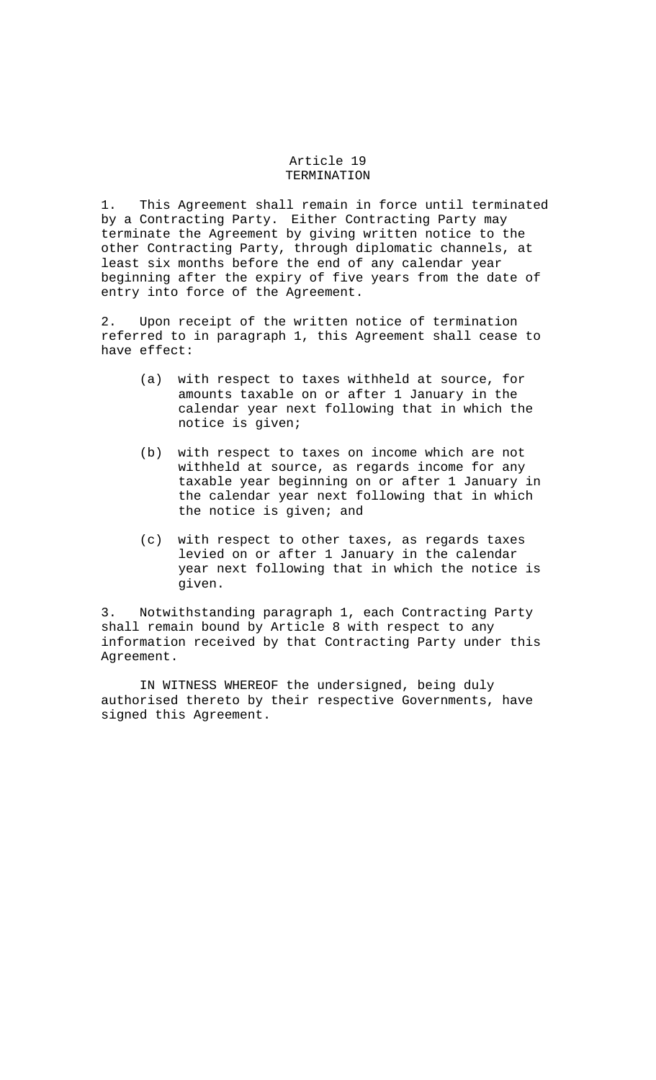#### Article 19 TERMINATION

1. This Agreement shall remain in force until terminated by a Contracting Party. Either Contracting Party may terminate the Agreement by giving written notice to the other Contracting Party, through diplomatic channels, at least six months before the end of any calendar year beginning after the expiry of five years from the date of entry into force of the Agreement.

2. Upon receipt of the written notice of termination referred to in paragraph 1, this Agreement shall cease to have effect:

- (a) with respect to taxes withheld at source, for amounts taxable on or after 1 January in the calendar year next following that in which the notice is given;
- (b) with respect to taxes on income which are not withheld at source, as regards income for any taxable year beginning on or after 1 January in the calendar year next following that in which the notice is given; and
- (c) with respect to other taxes, as regards taxes levied on or after 1 January in the calendar year next following that in which the notice is given.

3. Notwithstanding paragraph 1, each Contracting Party shall remain bound by Article 8 with respect to any information received by that Contracting Party under this Agreement.

 IN WITNESS WHEREOF the undersigned, being duly authorised thereto by their respective Governments, have signed this Agreement.